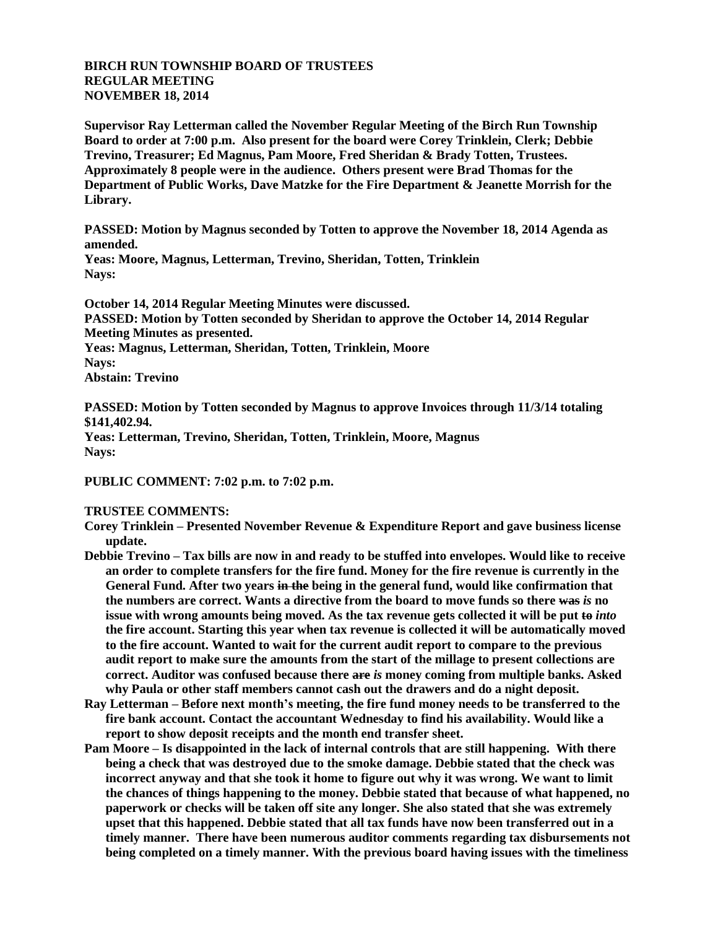## **BIRCH RUN TOWNSHIP BOARD OF TRUSTEES REGULAR MEETING NOVEMBER 18, 2014**

**Supervisor Ray Letterman called the November Regular Meeting of the Birch Run Township Board to order at 7:00 p.m. Also present for the board were Corey Trinklein, Clerk; Debbie Trevino, Treasurer; Ed Magnus, Pam Moore, Fred Sheridan & Brady Totten, Trustees. Approximately 8 people were in the audience. Others present were Brad Thomas for the Department of Public Works, Dave Matzke for the Fire Department & Jeanette Morrish for the Library.**

**PASSED: Motion by Magnus seconded by Totten to approve the November 18, 2014 Agenda as amended.**

**Yeas: Moore, Magnus, Letterman, Trevino, Sheridan, Totten, Trinklein Nays:** 

**October 14, 2014 Regular Meeting Minutes were discussed. PASSED: Motion by Totten seconded by Sheridan to approve the October 14, 2014 Regular Meeting Minutes as presented. Yeas: Magnus, Letterman, Sheridan, Totten, Trinklein, Moore Nays: Abstain: Trevino**

**PASSED: Motion by Totten seconded by Magnus to approve Invoices through 11/3/14 totaling \$141,402.94.**

**Yeas: Letterman, Trevino, Sheridan, Totten, Trinklein, Moore, Magnus Nays:**

**PUBLIC COMMENT: 7:02 p.m. to 7:02 p.m.**

## **TRUSTEE COMMENTS:**

**Corey Trinklein – Presented November Revenue & Expenditure Report and gave business license update.**

- **Debbie Trevino – Tax bills are now in and ready to be stuffed into envelopes. Would like to receive an order to complete transfers for the fire fund. Money for the fire revenue is currently in the General Fund. After two years in the being in the general fund, would like confirmation that the numbers are correct. Wants a directive from the board to move funds so there was** *is* **no issue with wrong amounts being moved. As the tax revenue gets collected it will be put to** *into* **the fire account. Starting this year when tax revenue is collected it will be automatically moved to the fire account. Wanted to wait for the current audit report to compare to the previous audit report to make sure the amounts from the start of the millage to present collections are correct. Auditor was confused because there are** *is* **money coming from multiple banks. Asked why Paula or other staff members cannot cash out the drawers and do a night deposit.**
- **Ray Letterman – Before next month's meeting, the fire fund money needs to be transferred to the fire bank account. Contact the accountant Wednesday to find his availability. Would like a report to show deposit receipts and the month end transfer sheet.**
- **Pam Moore – Is disappointed in the lack of internal controls that are still happening. With there being a check that was destroyed due to the smoke damage. Debbie stated that the check was incorrect anyway and that she took it home to figure out why it was wrong. We want to limit the chances of things happening to the money. Debbie stated that because of what happened, no paperwork or checks will be taken off site any longer. She also stated that she was extremely upset that this happened. Debbie stated that all tax funds have now been transferred out in a timely manner. There have been numerous auditor comments regarding tax disbursements not being completed on a timely manner. With the previous board having issues with the timeliness**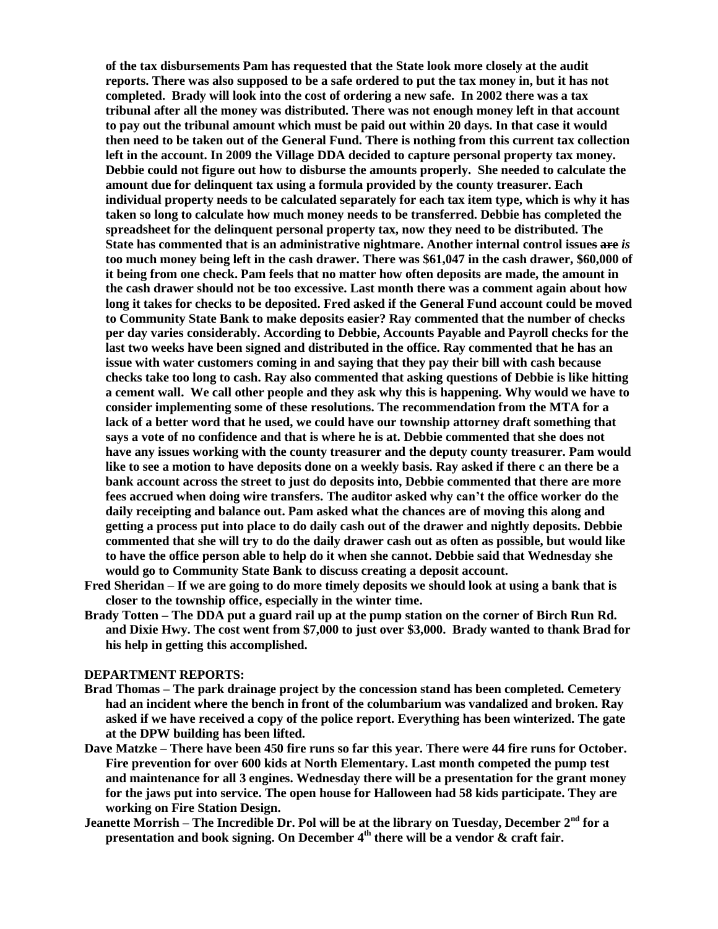**of the tax disbursements Pam has requested that the State look more closely at the audit reports. There was also supposed to be a safe ordered to put the tax money in, but it has not completed. Brady will look into the cost of ordering a new safe. In 2002 there was a tax tribunal after all the money was distributed. There was not enough money left in that account to pay out the tribunal amount which must be paid out within 20 days. In that case it would then need to be taken out of the General Fund. There is nothing from this current tax collection left in the account. In 2009 the Village DDA decided to capture personal property tax money. Debbie could not figure out how to disburse the amounts properly. She needed to calculate the amount due for delinquent tax using a formula provided by the county treasurer. Each individual property needs to be calculated separately for each tax item type, which is why it has taken so long to calculate how much money needs to be transferred. Debbie has completed the spreadsheet for the delinquent personal property tax, now they need to be distributed. The State has commented that is an administrative nightmare. Another internal control issues are** *is* **too much money being left in the cash drawer. There was \$61,047 in the cash drawer, \$60,000 of it being from one check. Pam feels that no matter how often deposits are made, the amount in the cash drawer should not be too excessive. Last month there was a comment again about how long it takes for checks to be deposited. Fred asked if the General Fund account could be moved to Community State Bank to make deposits easier? Ray commented that the number of checks per day varies considerably. According to Debbie, Accounts Payable and Payroll checks for the last two weeks have been signed and distributed in the office. Ray commented that he has an issue with water customers coming in and saying that they pay their bill with cash because checks take too long to cash. Ray also commented that asking questions of Debbie is like hitting a cement wall. We call other people and they ask why this is happening. Why would we have to consider implementing some of these resolutions. The recommendation from the MTA for a lack of a better word that he used, we could have our township attorney draft something that says a vote of no confidence and that is where he is at. Debbie commented that she does not have any issues working with the county treasurer and the deputy county treasurer. Pam would like to see a motion to have deposits done on a weekly basis. Ray asked if there c an there be a bank account across the street to just do deposits into, Debbie commented that there are more fees accrued when doing wire transfers. The auditor asked why can't the office worker do the daily receipting and balance out. Pam asked what the chances are of moving this along and getting a process put into place to do daily cash out of the drawer and nightly deposits. Debbie commented that she will try to do the daily drawer cash out as often as possible, but would like to have the office person able to help do it when she cannot. Debbie said that Wednesday she would go to Community State Bank to discuss creating a deposit account.**

- **Fred Sheridan – If we are going to do more timely deposits we should look at using a bank that is closer to the township office, especially in the winter time.**
- **Brady Totten – The DDA put a guard rail up at the pump station on the corner of Birch Run Rd. and Dixie Hwy. The cost went from \$7,000 to just over \$3,000. Brady wanted to thank Brad for his help in getting this accomplished.**

## **DEPARTMENT REPORTS:**

- **Brad Thomas – The park drainage project by the concession stand has been completed. Cemetery had an incident where the bench in front of the columbarium was vandalized and broken. Ray asked if we have received a copy of the police report. Everything has been winterized. The gate at the DPW building has been lifted.**
- **Dave Matzke – There have been 450 fire runs so far this year. There were 44 fire runs for October. Fire prevention for over 600 kids at North Elementary. Last month competed the pump test and maintenance for all 3 engines. Wednesday there will be a presentation for the grant money for the jaws put into service. The open house for Halloween had 58 kids participate. They are working on Fire Station Design.**
- **Jeanette Morrish – The Incredible Dr. Pol will be at the library on Tuesday, December 2nd for a presentation and book signing. On December 4th there will be a vendor & craft fair.**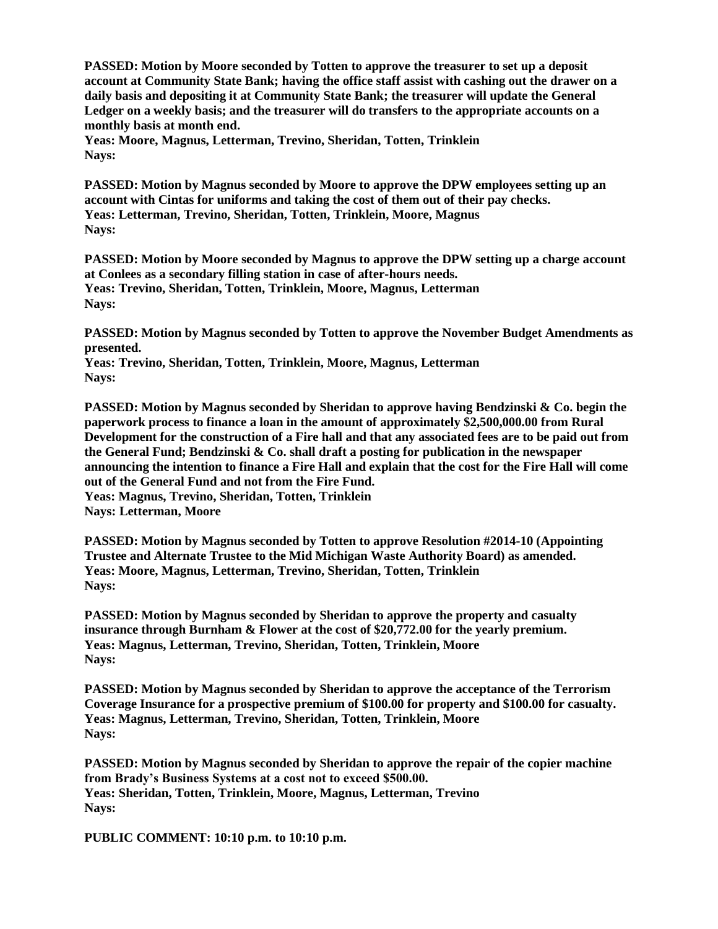**PASSED: Motion by Moore seconded by Totten to approve the treasurer to set up a deposit account at Community State Bank; having the office staff assist with cashing out the drawer on a daily basis and depositing it at Community State Bank; the treasurer will update the General Ledger on a weekly basis; and the treasurer will do transfers to the appropriate accounts on a monthly basis at month end.**

**Yeas: Moore, Magnus, Letterman, Trevino, Sheridan, Totten, Trinklein Nays:**

**PASSED: Motion by Magnus seconded by Moore to approve the DPW employees setting up an account with Cintas for uniforms and taking the cost of them out of their pay checks. Yeas: Letterman, Trevino, Sheridan, Totten, Trinklein, Moore, Magnus Nays:**

**PASSED: Motion by Moore seconded by Magnus to approve the DPW setting up a charge account at Conlees as a secondary filling station in case of after-hours needs. Yeas: Trevino, Sheridan, Totten, Trinklein, Moore, Magnus, Letterman Nays:**

**PASSED: Motion by Magnus seconded by Totten to approve the November Budget Amendments as presented.**

**Yeas: Trevino, Sheridan, Totten, Trinklein, Moore, Magnus, Letterman Nays:**

**PASSED: Motion by Magnus seconded by Sheridan to approve having Bendzinski & Co. begin the paperwork process to finance a loan in the amount of approximately \$2,500,000.00 from Rural Development for the construction of a Fire hall and that any associated fees are to be paid out from the General Fund; Bendzinski & Co. shall draft a posting for publication in the newspaper announcing the intention to finance a Fire Hall and explain that the cost for the Fire Hall will come out of the General Fund and not from the Fire Fund. Yeas: Magnus, Trevino, Sheridan, Totten, Trinklein Nays: Letterman, Moore**

**PASSED: Motion by Magnus seconded by Totten to approve Resolution #2014-10 (Appointing Trustee and Alternate Trustee to the Mid Michigan Waste Authority Board) as amended. Yeas: Moore, Magnus, Letterman, Trevino, Sheridan, Totten, Trinklein Nays:**

**PASSED: Motion by Magnus seconded by Sheridan to approve the property and casualty insurance through Burnham & Flower at the cost of \$20,772.00 for the yearly premium. Yeas: Magnus, Letterman, Trevino, Sheridan, Totten, Trinklein, Moore Nays:**

**PASSED: Motion by Magnus seconded by Sheridan to approve the acceptance of the Terrorism Coverage Insurance for a prospective premium of \$100.00 for property and \$100.00 for casualty. Yeas: Magnus, Letterman, Trevino, Sheridan, Totten, Trinklein, Moore Nays:**

**PASSED: Motion by Magnus seconded by Sheridan to approve the repair of the copier machine from Brady's Business Systems at a cost not to exceed \$500.00. Yeas: Sheridan, Totten, Trinklein, Moore, Magnus, Letterman, Trevino Nays:**

**PUBLIC COMMENT: 10:10 p.m. to 10:10 p.m.**